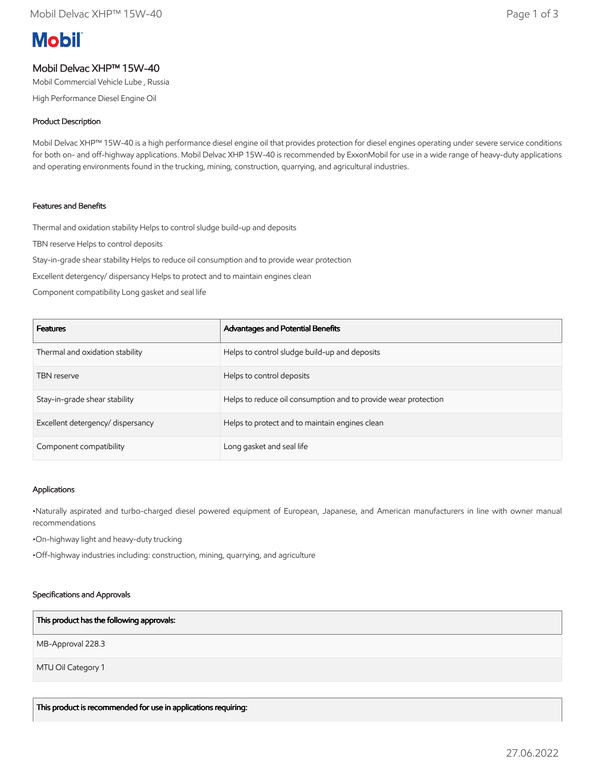# **Mobil**

# Mobil Delvac XHP™ 15W-40

Mobil Commercial Vehicle Lube , Russia

High Performance Diesel Engine Oil

## Product Description

Mobil Delvac XHP™ 15W-40 is a high performance diesel engine oil that provides protection for diesel engines operating under severe service conditions for both on- and off-highway applications. Mobil Delvac XHP 15W-40 is recommended by ExxonMobil for use in a wide range of heavy-duty applications and operating environments found in the trucking, mining, construction, quarrying, and agricultural industries.

## Features and Benefits

Thermal and oxidation stability Helps to control sludge build-up and deposits

TBN reserve Helps to control deposits

Stay-in-grade shear stability Helps to reduce oil consumption and to provide wear protection

Excellent detergency/ dispersancy Helps to protect and to maintain engines clean

Component compatibility Long gasket and seal life

| <b>Features</b>                   | Advantages and Potential Benefits                              |
|-----------------------------------|----------------------------------------------------------------|
| Thermal and oxidation stability   | Helps to control sludge build-up and deposits                  |
| <b>TBN</b> reserve                | Helps to control deposits                                      |
| Stay-in-grade shear stability     | Helps to reduce oil consumption and to provide wear protection |
| Excellent detergency/ dispersancy | Helps to protect and to maintain engines clean                 |
| Component compatibility           | Long gasket and seal life                                      |

#### Applications

•Naturally aspirated and turbo-charged diesel powered equipment of European, Japanese, and American manufacturers in line with owner manual recommendations

•On-highway light and heavy-duty trucking

•Off-highway industries including: construction, mining, quarrying, and agriculture

#### Specifications and Approvals

#### This product has the following approvals:

MB-Approval 228.3

MTU Oil Category 1

This product is recommended for use in applications requiring: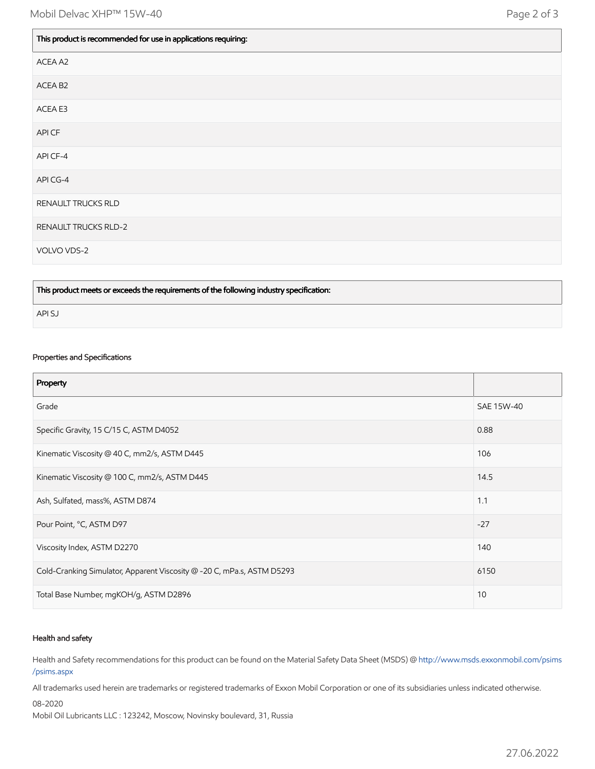| This product is recommended for use in applications requiring: |
|----------------------------------------------------------------|
| ACEA A2                                                        |
| ACEA B2                                                        |
| ACEA E3                                                        |
| API CF                                                         |
| API CF-4                                                       |
| API CG-4                                                       |
| RENAULT TRUCKS RLD                                             |
| <b>RENAULT TRUCKS RLD-2</b>                                    |
| VOLVO VDS-2                                                    |

This product meets or exceeds the requirements of the following industry specification:

API SJ

# Properties and Specifications

| Property                                                               |            |
|------------------------------------------------------------------------|------------|
| Grade                                                                  | SAE 15W-40 |
| Specific Gravity, 15 C/15 C, ASTM D4052                                | 0.88       |
| Kinematic Viscosity @ 40 C, mm2/s, ASTM D445                           | 106        |
| Kinematic Viscosity @ 100 C, mm2/s, ASTM D445                          | 14.5       |
| Ash, Sulfated, mass%, ASTM D874                                        | 1.1        |
| Pour Point, °C, ASTM D97                                               | $-27$      |
| Viscosity Index, ASTM D2270                                            | 140        |
| Cold-Cranking Simulator, Apparent Viscosity @ -20 C, mPa.s, ASTM D5293 | 6150       |
| Total Base Number, mgKOH/g, ASTM D2896                                 | 10         |

#### Health and safety

Health and Safety recommendations for this product can be found on the Material Safety Data Sheet (MSDS) @ [http://www.msds.exxonmobil.com/psims](http://www.msds.exxonmobil.com/psims/psims.aspx) /psims.aspx

All trademarks used herein are trademarks or registered trademarks of Exxon Mobil Corporation or one of its subsidiaries unless indicated otherwise.

08-2020

Mobil Oil Lubricants LLC : 123242, Moscow, Novinsky boulevard, 31, Russia